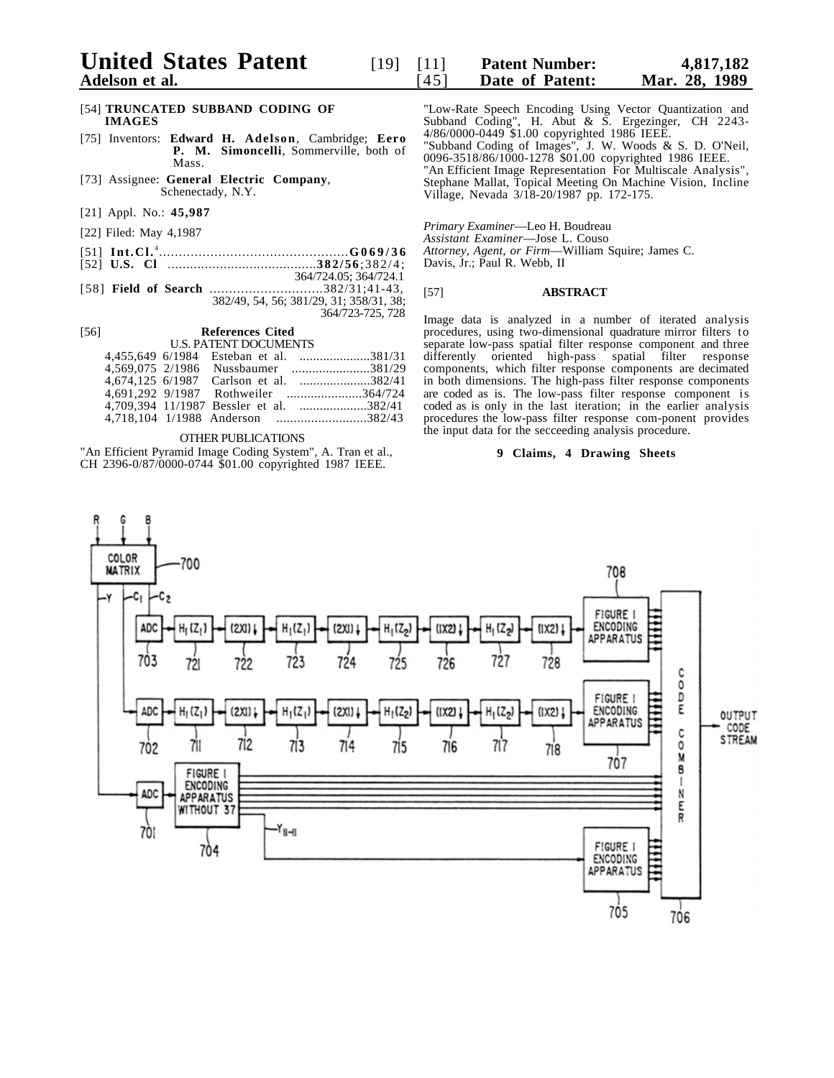# [54] **TRUNCATED SUBBAND CODING OF IMAGES**

- [75] Inventors: **Edward H. Adelson**, Cambridge; **Eero P. M. Simoncelli**, Sommerville, both of Mass.
- [73] Assignee: **General Electric Company**, Schenectady, N.Y.
- [21] Appl. No.: **45,987**
- [22] Filed: May 4,1987
- [51] **Int.Cl.** <sup>4</sup> ................................................**G069/36**
- [52] **U.S. Cl** ........................................**382/56**;382/4;
- 364/724.05; 364/724.1<br>...................382/31;41-43, [58] **Field of Search** ........... 382/49, 54, 56; 381/29, 31; 358/31, 38; 364/723-725, 728

#### [56] **References Cited** U.S. PATENT DOCUMENTS

|  | 4,455,649 6/1984 Esteban et al. 381/31  |
|--|-----------------------------------------|
|  | 4.569.075 2/1986 Nussbaumer 381/29      |
|  | 4.674.125 6/1987 Carlson et al. 382/41  |
|  | 4.691.292 9/1987 Rothweiler 364/724     |
|  | 4.709.394 11/1987 Bessler et al. 382/41 |
|  | 4,718,104 1/1988 Anderson 382/43        |
|  |                                         |

#### OTHER PUBLICATIONS

"An Efficient Pyramid Image Coding System", A. Tran et al., CH 2396-0/87/0000-0744 \$01.00 copyrighted 1987 IEEE.

"Low-Rate Speech Encoding Using Vector Quantization and Subband Coding", H. Abut & S. Ergezinger, CH 2243- 4/86/0000-0449 \$1.00 copyrighted 1986 IEEE.

"Subband Coding of Images", J. W. Woods & S. D. O'Neil, 0096-3518/86/1000-1278 \$01.00 copyrighted 1986 IEEE. "An Efficient Image Representation For Multiscale Analysis",

Stephane Mallat, Topical Meeting On Machine Vision, Incline Village, Nevada 3/18-20/1987 pp. 172-175.

*Primary Examiner*—Leo H. Boudreau

*Assistant Examiner*—Jose L. Couso

*Attorney, Agent, or Firm*—William Squire; James C.

**Date of Patent:** 

Davis, Jr.; Paul R. Webb, II

### [57] **ABSTRACT**

Image data is analyzed in a number of iterated analysis procedures, using two-dimensional quadrature mirror filters to separate low-pass spatial filter response component and three differently oriented high-pass spatial filter response components, which filter response components are decimated in both dimensions. The high-pass filter response components are coded as is. The low-pass filter response component is coded as is only in the last iteration; in the earlier analysis procedures the low-pass filter response com-ponent provides the input data for the secceeding analysis procedure.

### **9 Claims, 4 Drawing Sheets**

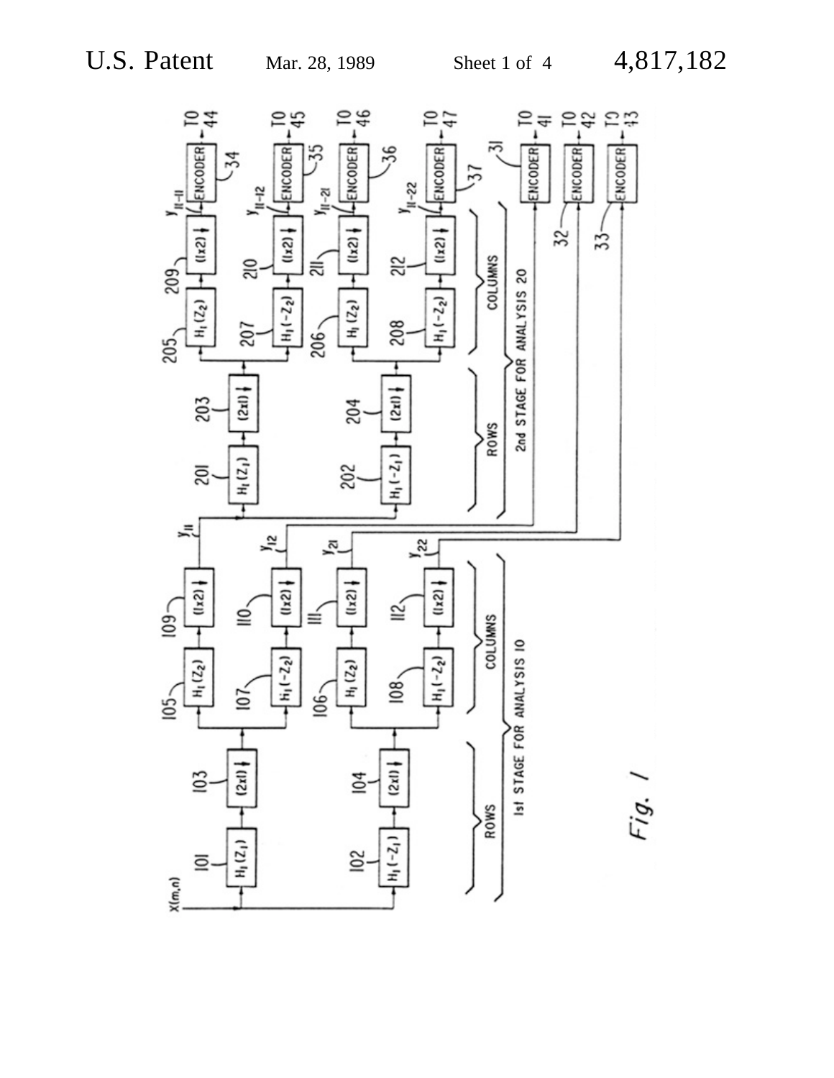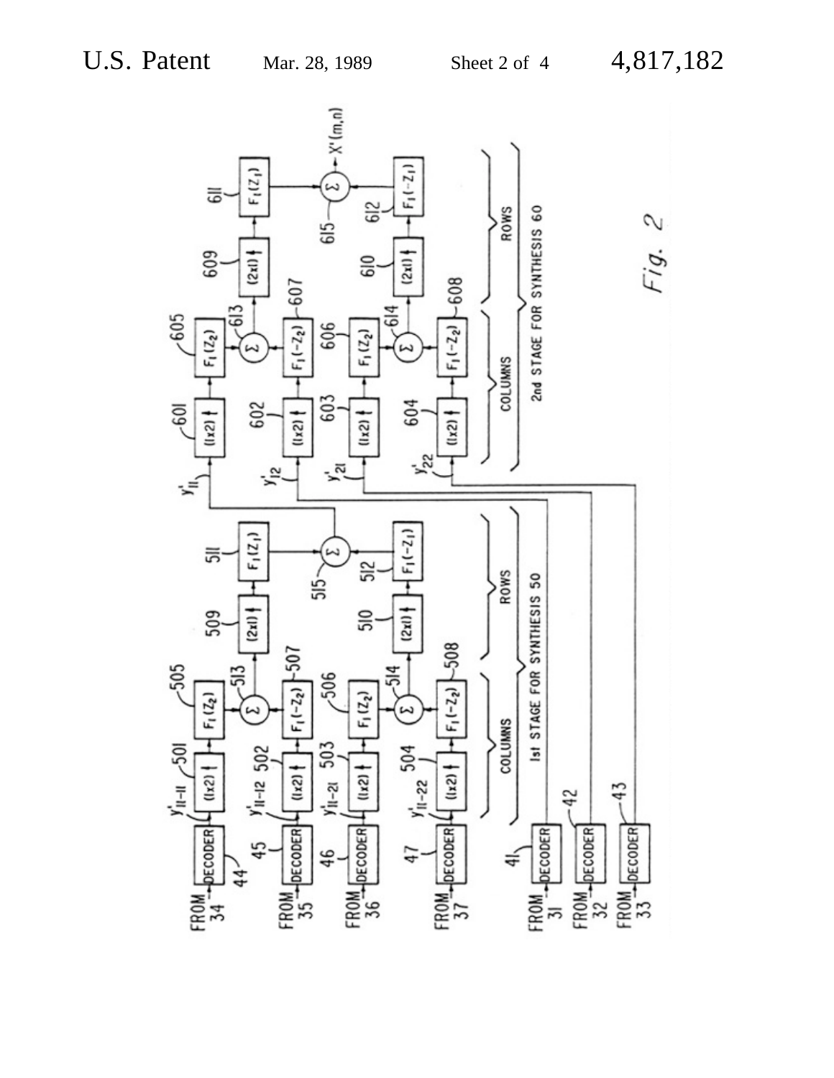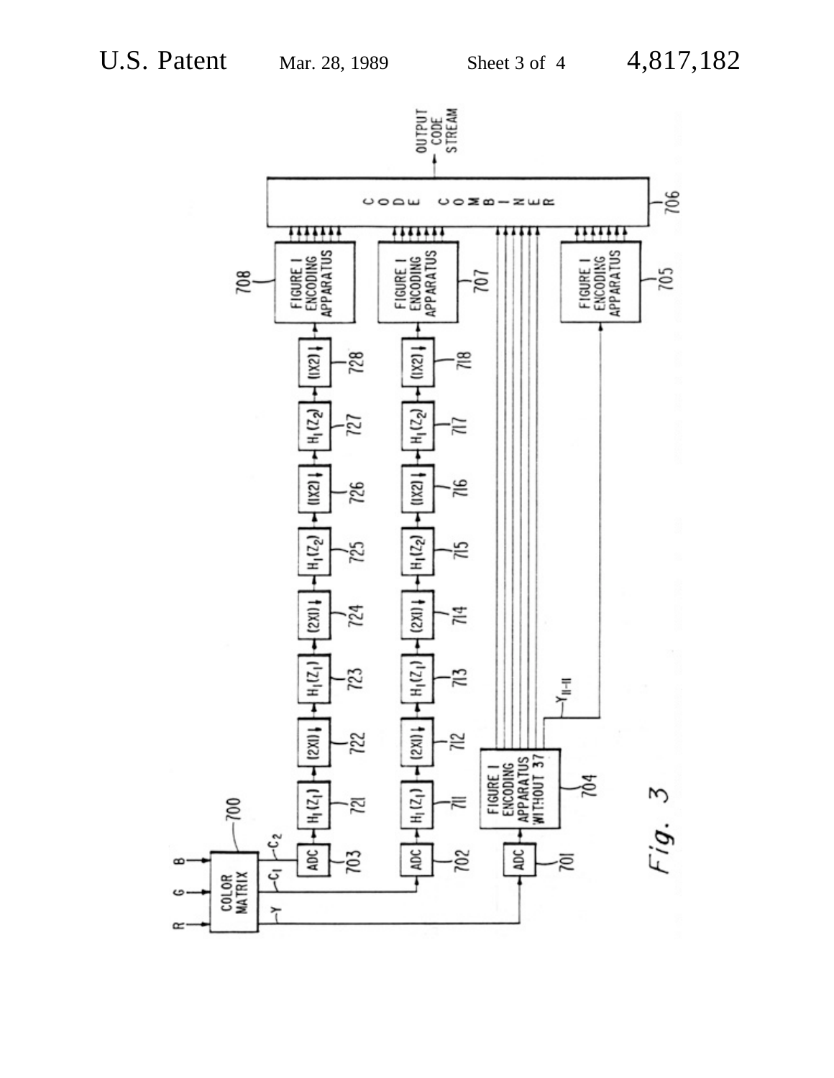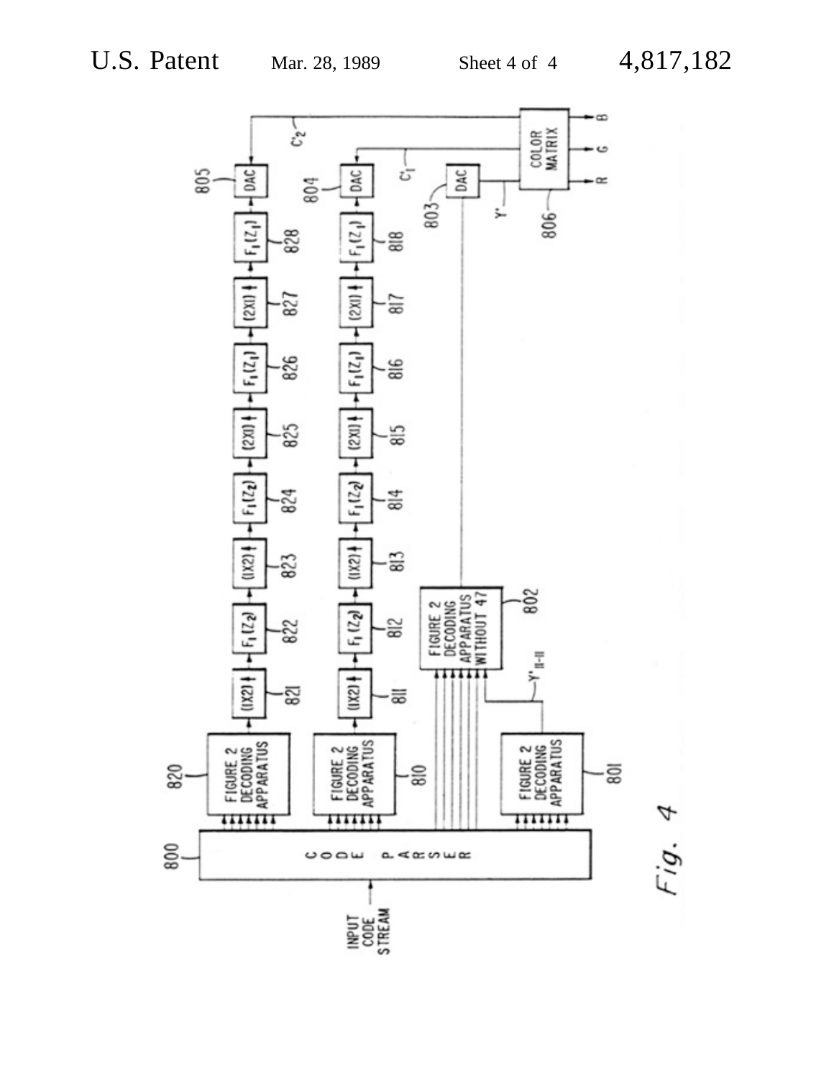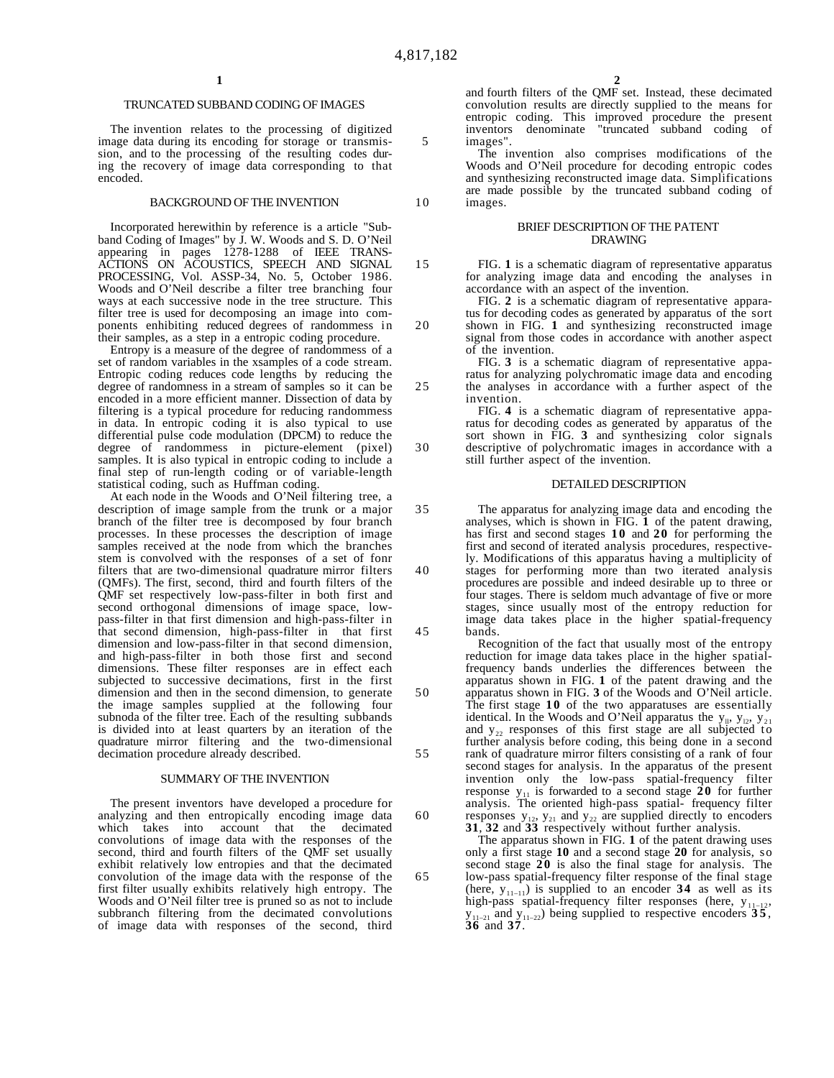**1**

## TRUNCATED SUBBAND CODING OF IMAGES

The invention relates to the processing of digitized image data during its encoding for storage or transmission, and to the processing of the resulting codes during the recovery of image data corresponding to that encoded.

### BACKGROUND OF THE INVENTION

Incorporated herewithin by reference is a article "Subband Coding of Images" by J. W. Woods and S. D. O'Neil appearing in pages 1278-1288 of IEEE TRANS-ACTIONS ON ACOUSTICS, SPEECH AND SIGNAL PROCESSING, Vol. ASSP-34, No. 5, October 1986. Woods and O'Neil describe a filter tree branching four ways at each successive node in the tree structure. This filter tree is used for decomposing an image into components enhibiting reduced degrees of randommess in their samples, as a step in a entropic coding procedure.

Entropy is a measure of the degree of randommess of a set of random variables in the xsamples of a code stream. Entropic coding reduces code lengths by reducing the degree of randomness in a stream of samples so it can be encoded in a more efficient manner. Dissection of data by filtering is a typical procedure for reducing randommess in data. In entropic coding it is also typical to use differential pulse code modulation (DPCM) to reduce the degree of randommess in picture-element (pixel) samples. It is also typical in entropic coding to include a final step of run-length coding or of variable-length statistical coding, such as Huffman coding.

At each node in the Woods and O'Neil filtering tree, a description of image sample from the trunk or a major branch of the filter tree is decomposed by four branch processes. In these processes the description of image samples received at the node from which the branches stem is convolved with the responses of a set of fonr filters that are two-dimensional quadrature mirror filters (QMFs). The first, second, third and fourth filters of the QMF set respectively low-pass-filter in both first and second orthogonal dimensions of image space, lowpass-filter in that first dimension and high-pass-filter in that second dimension, high-pass-filter in that first dimension and low-pass-filter in that second dimension, and high-pass-filter in both those first and second dimensions. These filter responses are in effect each subjected to successive decimations, first in the first dimension and then in the second dimension, to generate the image samples supplied at the following four subnoda of the filter tree. Each of the resulting subbands is divided into at least quarters by an iteration of the quadrature mirror filtering and the two-dimensional decimation procedure already described.

### SUMMARY OF THE INVENTION

The present inventors have developed a procedure for analyzing and then entropically encoding image data which takes into account that the decimated convolutions of image data with the responses of the second, third and fourth filters of the QMF set usually exhibit relatively low entropies and that the decimated convolution of the image data with the response of the first filter usually exhibits relatively high entropy. The Woods and O'Neil filter tree is pruned so as not to include subbranch filtering from the decimated convolutions of image data with responses of the second, third and fourth filters of the QMF set. Instead, these decimated convolution results are directly supplied to the means for entropic coding. This improved procedure the present inventors denominate "truncated subband coding of images".

The invention also comprises modifications of the Woods and O'Neil procedure for decoding entropic codes and synthesizing reconstructed image data. Simplifications are made possible by the truncated subband coding of images.

### BRIEF DESCRIPTION OF THE PATENT DRAWING

FIG. **1** is a schematic diagram of representative apparatus for analyzing image data and encoding the analyses in accordance with an aspect of the invention.

FIG. **2** is a schematic diagram of representative apparatus for decoding codes as generated by apparatus of the sort shown in FIG. **1** and synthesizing reconstructed image signal from those codes in accordance with another aspect of the invention.

FIG. **3** is a schematic diagram of representative apparatus for analyzing polychromatic image data and encoding the analyses in accordance with a further aspect of the invention.

FIG. **4** is a schematic diagram of representative apparatus for decoding codes as generated by apparatus of the sort shown in FIG. **3** and synthesizing color signals descriptive of polychromatic images in accordance with a still further aspect of the invention.

### DETAILED DESCRIPTION

35 40 45 The apparatus for analyzing image data and encoding the analyses, which is shown in FIG. **1** of the patent drawing, has first and second stages **10** and **20** for performing the first and second of iterated analysis procedures, respectively. Modifications of this apparatus having a multiplicity of stages for performing more than two iterated analysis procedures are possible and indeed desirable up to three or four stages. There is seldom much advantage of five or more stages, since usually most of the entropy reduction for image data takes place in the higher spatial-frequency bands.

Recognition of the fact that usually most of the entropy reduction for image data takes place in the higher spatialfrequency bands underlies the differences between the apparatus shown in FIG. **1** of the patent drawing and the apparatus shown in FIG. **3** of the Woods and O'Neil article. The first stage **10** of the two apparatuses are essentially identical. In the Woods and O'Neil apparatus the  $y_{11}$ ,  $y_{12}$ ,  $y_{21}$ and  $y_{22}$  responses of this first stage are all subjected to further analysis before coding, this being done in a second rank of quadrature mirror filters consisting of a rank of four second stages for analysis. In the apparatus of the present invention only the low-pass spatial-frequency filter response  $y_{11}$  is forwarded to a second stage **20** for further analysis. The oriented high-pass spatial- frequency filter responses  $y_{12}$ ,  $y_{21}$  and  $y_{22}$  are supplied directly to encoders **31**, **32** and **33** respectively without further analysis.

The apparatus shown in FIG. **1** of the patent drawing uses only a first stage **10** and a second stage **20** for analysis, so second stage **20** is also the final stage for analysis. The low-pass spatial-frequency filter response of the final stage (here,  $y_{11-11}$ ) is supplied to an encoder **34** as well as its high-pass spatial-frequency filter responses (here,  $y_{11-12}$ ,  $y_{11-21}$  and  $y_{11-22}$ ) being supplied to respective encoders  $35$ , **36** and **37**.

10

15

20

25

30

50

55

60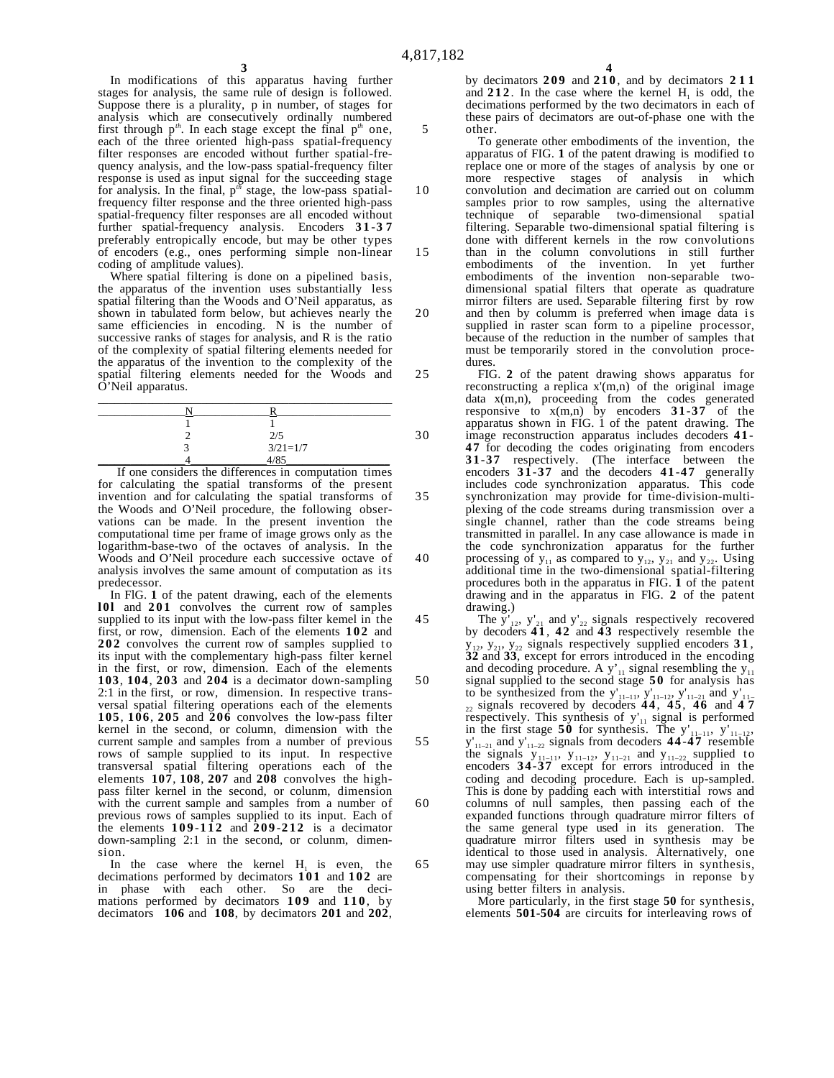In modifications of this apparatus having further stages for analysis, the same rule of design is followed. Suppose there is a plurality, p in number, of stages for analysis which are consecutively ordinally numbered first through  $p^{th}$ . In each stage except the final  $p^{th}$  one, each of the three oriented high-pass spatial-frequency filter responses are encoded without further spatial-frequency analysis, and the low-pass spatial-frequency filter response is used as input signal for the succeeding stage for analysis. In the final,  $p^{th}$  stage, the low-pass spatialfrequency filter response and the three oriented high-pass spatial-frequency filter responses are all encoded without further spatial-frequency analysis. Encoders **3 1** -**3 7** preferably entropically encode, but may be other types of encoders (e.g., ones performing simple non-linear coding of amplitude values).

Where spatial filtering is done on a pipelined basis, the apparatus of the invention uses substantially less spatial filtering than the Woods and O'Neil apparatus, as shown in tabulated form below, but achieves nearly the same efficiencies in encoding. N is the number of successive ranks of stages for analysis, and R is the ratio of the complexity of spatial filtering elements needed for the apparatus of the invention to the complexity of the spatial filtering elements needed for the Woods and O'Neil apparatus.

| $\frac{2}{5}$<br>$\frac{3}{21}$ =1/7 |  |
|--------------------------------------|--|
|                                      |  |

If one considers the differences in computation times for calculating the spatial transforms of the present invention and for calculating the spatial transforms of the Woods and O'Neil procedure, the following observations can be made. In the present invention the computational time per frame of image grows only as the logarithm-base-two of the octaves of analysis. In the Woods and O'Neil procedure each successive octave of analysis involves the same amount of computation as its predecessor.

In FlG. **1** of the patent drawing, each of the elements **l0l** and **201** convolves the current row of samples supplied to its input with the low-pass filter kemel in the first, or row, dimension. Each of the elements **102** and **202** convolves the current row of samples supplied to its input with the complementary high-pass filter kernel in the first, or row, dimension. Each of the elements **103**, **104**, **203** and **204** is a decimator down-sampling 2:1 in the first, or row, dimension. In respective transversal spatial filtering operations each of the elements **105**, **106**, **205** and **206** convolves the low-pass filter kernel in the second, or column, dimension with the current sample and samples from a number of previous rows of sample supplied to its input. In respective transversal spatial filtering operations each of the elements **107**, **108**, **207** and **208** convolves the highpass filter kernel in the second, or colunm, dimension with the current sample and samples from a number of previous rows of samples supplied to its input. Each of the elements  $109 - 112$  and  $209 - 212$  is a decimator down-sampling 2:1 in the second, or colunm, dimension.

In the case where the kernel  $H_1$  is even, the decimations performed by decimators **101** and **102** are in phase with each other. So are the decimations performed by decimators **109** and **110** , by decimators **106** and **108**, by decimators **201** and **202**,

by decimators **209** and **210** , and by decimators **211** and  $212$ . In the case where the kernel  $H<sub>1</sub>$  is odd, the decimations performed by the two decimators in each of these pairs of decimators are out-of-phase one with the other.

To generate other embodiments of the invention, the apparatus of FIG. **1** of the patent drawing is modified to replace one or more of the stages of analysis by one or more respective stages of analysis in which convolution and decimation are carried out on columm samples prior to row samples, using the alternative technique of separable two-dimensional spatial filtering. Separable two-dimensional spatial filtering is done with different kernels in the row convolutions than in the column convolutions in still further embodiments of the invention. In yet further embodiments of the invention non-separable twodimensional spatial filters that operate as quadrature mirror filters are used. Separable filtering first by row and then by columm is preferred when image data is supplied in raster scan form to a pipeline processor, because of the reduction in the number of samples that must be temporarily stored in the convolution procedures.

FIG. **2** of the patent drawing shows apparatus for reconstructing a replica x'(m,n) of the original image data x(m,n), proceeding from the codes generated responsive to x(m,n) by encoders **31**-**37** of the apparatus shown in FIG. 1 of the patent drawing. The image reconstruction apparatus includes decoders **4 1**- **47** for decoding the codes originating from encoders **31**-**37** respectively. (The interface between the encoders **31**-**37** and the decoders **41**-**47** generalIy includes code synchronization apparatus. This code synchronization may provide for time-division-multiplexing of the code streams during transmission over a single channel, rather than the code streams being transmitted in parallel. In any case allowance is made in the code synchronization apparatus for the further processing of  $y_{11}$  as compared to  $y_{12}$ ,  $y_{21}$  and  $y_{22}$ . Using additional time in the two-dimensional spatial-filtering procedures both in the apparatus in FIG. **1** of the patent drawing and in the apparatus in FlG. **2** of the patent drawing.)

45 50 55 60 65 The  $y'_{12}$ ,  $y'_{21}$  and  $y'_{22}$  signals respectively recovered by decoders **4 1** , **42** and **43** respectively resemble the  $y_{12}$ ,  $y_{21}$ ,  $y_{22}$  signals respectively supplied encoders **31**, **32** and **33**, except for errors introduced in the encoding and decoding procedure. A  $y'_{11}$  signal resembling the  $y_{11}$ signal supplied to the second stage **50** for analysis has to be synthesized from the  $y'_{11-11}$ ,  $y'_{11-12}$ ,  $y'_{11-21}$  and  $y'_{11-1}$ 22 signals recovered by decoders **4 4** , **4 5** , **46** and **4 7** respectively. This synthesis of  $y_{11}$  signal is performed in the first stage **50** for synthesis. The  $y'_{11-11}$ ,  $y'_{11-12}$ ,  $y'_{11-21}$  and  $y'_{11-22}$  signals from decoders **44-47** resemble the signals  $y_{11-11}$ ,  $y_{11-12}$ ,  $y_{11-21}$  and  $y_{11-22}$  supplied to encoders **34-37** except for errors introduced in the coding and decoding procedure. Each is up-sampled. This is done by padding each with interstitial rows and columns of null samples, then passing each of the expanded functions through quadrature mirror filters of the same general type used in its generation. The quadrature mirror filters used in synthesis may be identical to those used in analysis. Alternatively, one may use simpler quadrature mirror filters in synthesis, compensating for their shortcomings in reponse by using better filters in analysis.

More particularly, in the first stage **50** for synthesis, elements **501**-**504** are circuits for interleaving rows of

10

15

20

25

30

35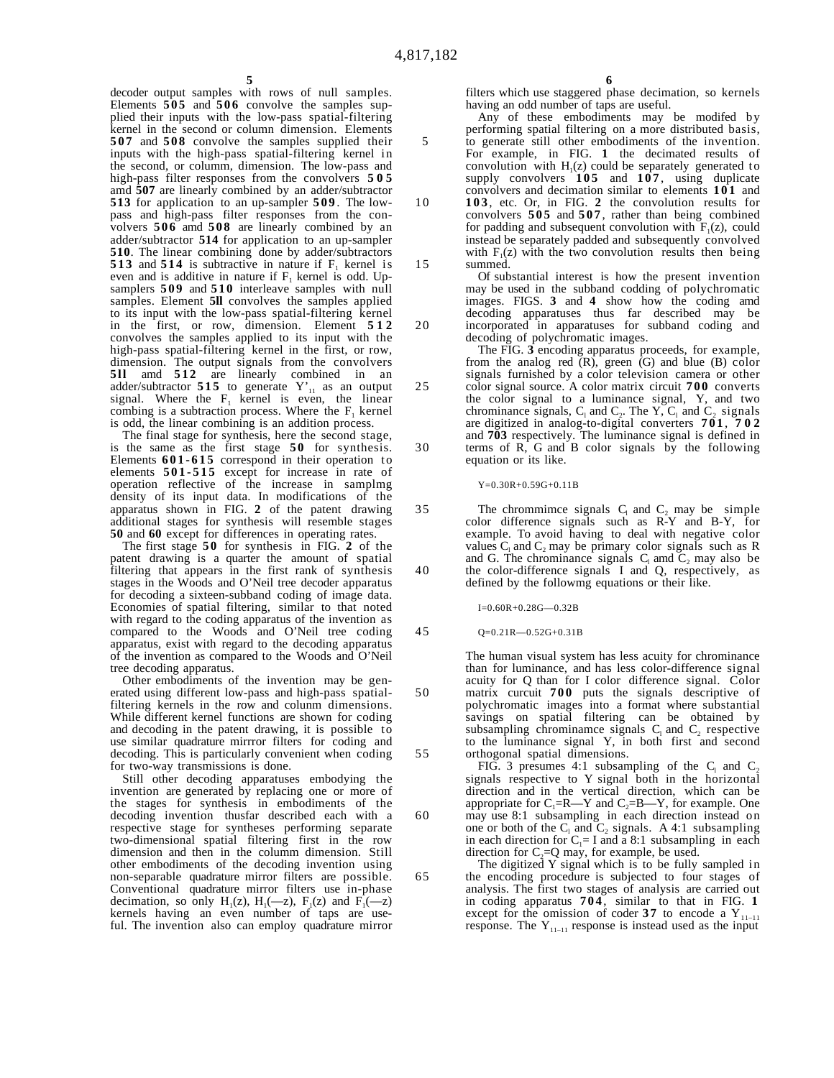10

15

20

25

30

35

40

45

50

55

60

65

**5** decoder output samples with rows of null samples. Elements **505** and **506** convolve the samples supplied their inputs with the low-pass spatial-filtering kernel in the second or column dimension. Elements **507** and **508** convolve the samples supplied their inputs with the high-pass spatial-filtering kernel in the second, or columm, dimension. The low-pass and high-pass filter responses from the convolvers **505** amd **507** are linearly combined by an adder/subtractor **513** for application to an up-sampler **509** . The lowpass and high-pass filter responses from the convolvers **506** amd **508** are linearly combined by an adder/subtractor **514** for application to an up-sampler **510**. The linear combining done by adder/subtractors **513** and **514** is subtractive in nature if  $F_1$  kernel is even and is additive in nature if  $F_1$  kernel is odd. Upsamplers **509** and **510** interleave samples with null samples. Element **5ll** convolves the samples applied to its input with the low-pass spatial-filtering kernel in the first, or row, dimension. Element **512** convolves the samples applied to its input with the high-pass spatial-filtering kernel in the first, or row, dimension. The output signals from the convolvers **5ll** amd **512** are linearly combined in an adder/subtractor **515** to generate  $Y'_{11}$  as an output signal. Where the  $F_1$  kernel is even, the linear combing is a subtraction process. Where the  $F_1$  kernel is odd, the linear combining is an addition process.

The final stage for synthesis, here the second stage, is the same as the first stage **50** for synthesis. Elements **601-615** correspond in their operation to elements **501-515** except for increase in rate of operation reflective of the increase in samplmg density of its input data. In modifications of the apparatus shown in FIG. **2** of the patent drawing additional stages for synthesis will resemble stages **50** and **60** except for differences in operating rates.

The first stage **50** for synthesis in FIG. **2** of the patent drawing is a quarter the amount of spatial filtering that appears in the first rank of synthesis stages in the Woods and O'Neil tree decoder apparatus for decoding a sixteen-subband coding of image data. Economies of spatial filtering, similar to that noted with regard to the coding apparatus of the invention as compared to the Woods and O'Neil tree coding apparatus, exist with regard to the decoding apparatus of the invention as compared to the Woods and O'Neil tree decoding apparatus.

Other embodiments of the invention may be generated using different low-pass and high-pass spatialfiltering kernels in the row and colunm dimensions. While different kernel functions are shown for coding and decoding in the patent drawing, it is possible to use similar quadrature mirrror filters for coding and decoding. This is particularly convenient when coding for two-way transmissions is done.

Still other decoding apparatuses embodying the invention are generated by replacing one or more of the stages for synthesis in embodiments of the decoding invention thusfar described each with a respective stage for syntheses performing separate two-dimensional spatial filtering first in the row dimension and then in the columm dimension. Still other embodiments of the decoding invention using non-separable quadrature mirror filters are possible. Conventional quadrature mirror filters use in-phase decimation, so only  $H_1(z)$ ,  $H_1(-z)$ ,  $F_1(z)$  and  $F_1(-z)$ <br>kernels having an even number of taps are useful. The invention also can employ quadrature mirror

filters which use staggered phase decimation, so kernels having an odd number of taps are useful.

Any of these embodiments may be modifed by performing spatial filtering on a more distributed basis, to generate still other embodiments of the invention. For example, in FIG. **1** the decimated results of convolution with  $H<sub>1</sub>(z)$  could be separately generated to supply convolvers **105** and **107** , using duplicate convolvers and decimation similar to elements **101** and **103** , etc. Or, in FIG. **2** the convolution results for convolvers **505** and **507** , rather than being combined for padding and subsequent convolution with  $F_1(z)$ , could instead be separately padded and subsequently convolved with  $F_1(z)$  with the two convolution results then being summed.

Of substantial interest is how the present invention may be used in the subband codding of polychromatic images. FIGS. **3** and **4** show how the coding amd decoding apparatuses thus far described may be incorporated in apparatuses for subband coding and decoding of polychromatic images.

The FIG. **3** encoding apparatus proceeds, for example, from the analog red  $(R)$ , green  $(G)$  and blue  $(B)$  color signals furnished by a color television camera or other color signal source. A color matrix circuit **700** converts the color signal to a luminance signal, Y, and two chrominance signals,  $C_1$  and  $C_2$ . The Y,  $C_1$  and  $C_2$  signals are digitized in analog-to-digital converters **701** , **702** and **703** respectively. The luminance signal is defined in terms of R, G and B color signals by the following equation or its like.

Y=0.30R+0.59G+0.11B

The chrommimce signals  $C_1$  and  $C_2$  may be simple color difference signals such as R-Y and B-Y, for example. To avoid having to deal with negative color values  $C_1$  and  $C_2$  may be primary color signals such as R and G. The chrominance signals  $C_1$  amd  $C_2$  may also be the color-difference signals I and Q, respectively, as defined by the followmg equations or their like.

I=0.60R+0.28G—0.32B

Q=0.21R—0.52G+0.31B

The human visual system has less acuity for chrominance than for luminance, and has less color-difference signal acuity for Q than for I color difference signal. Color matrix curcuit **700** puts the signals descriptive of polychromatic images into a format where substantial savings on spatial filtering can be obtained by subsampling chrominamce signals  $C_1$  and  $C_2$  respective to the luminance signal Y, in both first and second orthogonal spatial dimensions.

FIG. 3 presumes 4:1 subsampling of the  $C_1$  and  $C_2$ signals respective to Y signal both in the horizontal direction and in the vertical direction, which can be appropriate for  $C_1=R-Y$  and  $C_2=B-Y$ , for example. One may use 8:1 subsampling in each direction instead on one or both of the  $C_1$  and  $C_2$  signals. A 4:1 subsampling in each direction for  $C_1 = I$  and a 8:1 subsampling in each direction for  $C_2=Q$  may, for example, be used.

The digitized Y signal which is to be fully sampled in the encoding procedure is subjected to four stages of analysis. The first two stages of analysis are carried out in coding apparatus **704** , similar to that in FIG. **1** except for the omission of coder 37 to encode a  $Y_{11-11}$ response. The  $Y_{11-11}$  response is instead used as the input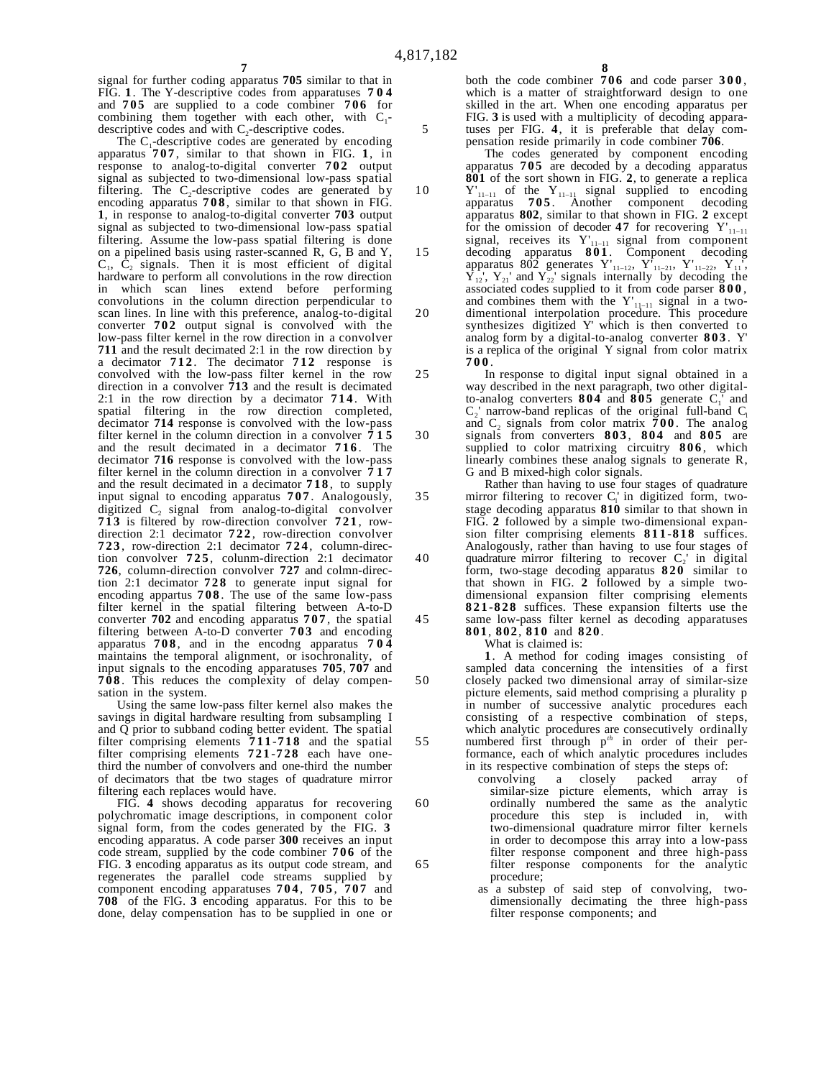signal for further coding apparatus **705** similar to that in FIG. **1**. The Y-descriptive codes from apparatuses **704** and **705** are supplied to a code combiner **706** for combining them together with each other, with  $C_1$ descriptive codes and with  $C_2$ -descriptive codes.

**7**

The  $C_1$ -descriptive codes are generated by encoding apparatus **707** , similar to that shown in FIG. **1**, in response to analog-to-digital converter **702** output signal as subjected to two-dimensional low-pass spatial filtering. The  $C_2$ -descriptive codes are generated by encoding apparatus **708** , similar to that shown in FIG. **1**, in response to analog-to-digital converter **703** output signal as subjected to two-dimensional low-pass spatial filtering. Assume the low-pass spatial filtering is done on a pipelined basis using raster-scanned R, G, B and Y,  $C_1$ ,  $C_2$  signals. Then it is most efficient of digital hardware to perform all convolutions in the row direction in which scan lines extend before performing convolutions in the column direction perpendicular to scan lines. In line with this preference, analog-to-digital converter **702** output signal is convolved with the low-pass filter kernel in the row direction in a convolver **711** and the result decimated 2:1 in the row direction by a decimator **712** . The decimator **712** response is convolved with the low-pass filter kernel in the row direction in a convolver **713** and the result is decimated 2:1 in the row direction by a decimator **714** . With spatial filtering in the row direction completed, decimator **714** response is convolved with the low-pass filter kernel in the column direction in a convolver **715** and the result decimated in a decimator **716** . The decimator **716** response is convolved with the low-pass filter kernel in the column direction in a convolver **717** and the result decimated in a decimator **718** , to supply input signal to encoding apparatus **707** . Analogously, digitized  $C_2$  signal from analog-to-digital convolver **713** is filtered by row-direction convolver **721** , rowdirection 2:1 decimator **722** , row-direction convolver **723** , row-direction 2:1 decimator **724** , column-direction convolver **725** , colunm-direction 2:1 decimator **726**, column-direction convolver **727** and colmn-direction 2:1 decimator **728** to generate input signal for encoding appartus **708** . The use of the same low-pass filter kernel in the spatial filtering between A-to-D converter **702** and encoding apparatus **707** , the spatial filtering between A-to-D converter **703** and encoding apparatus **708** , and in the encodng apparatus **704** maintains the temporal alignment, or isochronality, of input signals to the encoding apparatuses **705**, **707** and **708** . This reduces the complexity of delay compensation in the system.

Using the same low-pass filter kernel also makes the savings in digital hardware resulting from subsampling I and Q prior to subband coding better evident. The spatial filter comprising elements **711** -**718** and the spatial filter comprising elements **721** -**728** each have onethird the number of convolvers and one-third the number of decimators that tbe two stages of quadrature mirror filtering each replaces would have.

FIG. **4** shows decoding apparatus for recovering polychromatic image descriptions, in component color signal form, from the codes generated by the FIG. **3** encoding apparatus. A code parser **300** receives an input code stream, supplied by the code combiner **706** of the FIG. **3** encoding apparatus as its output code stream, and regenerates the parallel code streams supplied by component encoding apparatuses **704** , **705** , **707** and **708** of the FlG. **3** encoding apparatus. For this to be done, delay compensation has to be supplied in one or

both the code combiner **706** and code parser **300** , which is a matter of straightforward design to one skilled in the art. When one encoding apparatus per FIG. **3** is used with a multiplicity of decoding apparatuses per FIG. **4**, it is preferable that delay compensation reside primarily in code combiner **706**.

The codes generated by component encoding apparatus **705** are decoded by a decoding apparatus **801** of the sort shown in FIG. **2**, to generate a replica  $Y'_{11-11}$  of the  $Y_{11-11}$  signal supplied to encoding apparatus 705. Another component decoding **705** . Another component decoding apparatus **802**, similar to that shown in FIG. **2** except for the omission of decoder **47** for recovering  $Y'_{11-11}$ signal, receives its Y'11–11 signal from component decoding apparatus **801** . Component decoding apparatus 802 generates  $Y'_{11-12}$ ,  $Y'_{11-21}$ ,  $Y'_{11-22}$ ,  $Y_{11}$ ',  $Y_{12}$ ',  $Y_{21}$ ' and  $Y_{22}$ ' signals internally by decoding the associated codes supplied to it from code parser **800** , and combines them with the  $Y'_{11-11}$  signal in a twodimentional interpolation procedure. This procedure synthesizes digitized Y' which is then converted to

analog form by a digital-to-analog converter **803** . Y' is a replica of the original Y signal from color matrix **700** . In response to digital input signal obtained in a

way described in the next paragraph, two other digitalto-analog converters  $804$  and  $805$  generate  $C_1'$  and  $C_2'$  narrow-band replicas of the original full-band  $C_1$ and  $C_2$  signals from color matrix  $\bar{700}$ . The analog signals from converters **803** , **804** and **805** are supplied to color matrixing circuitry **806** , which linearly combines these analog signals to generate R, G and B mixed-high color signals.

Rather than having to use four stages of quadrature mirror filtering to recover  $C_1$  in digitized form, twostage decoding apparatus **810** similar to that shown in FIG. **2** followed by a simple two-dimensional expansion filter comprising elements **811** -**818** suffices. Analogously, rather than having to use four stages of quadrature mirror filtering to recover  $C_2$ ' in digital form, two-stage decoding apparatus **820** similar to that shown in FIG. **2** followed by a simple twodimensional expansion filter comprising elements **821** -**828** suffices. These expansion filterts use the same low-pass filter kernel as decoding apparatuses **801**, **802**, **810** and **820**.

What is claimed is:

**1**. A method for coding images consisting of sampled data concerning the intensities of a first closely packed two dimensional array of similar-size picture elements, said method comprising a plurality p in number of successive analytic procedures each consisting of a respective combination of steps, which analytic procedures are consecutively ordinally numbered first through p*th* in order of their performance, each of which analytic procedures includes in its respective combination of steps the steps of:<br>convolving a closely packed array

- a closely packed array of similar-size picture elements, which array is ordinally numbered the same as the analytic procedure this step is included in, with two-dimensional quadrature mirror filter kernels in order to decompose this array into a low-pass filter response component and three high-pass filter response components for the analytic procedure;
	- as a substep of said step of convolving, twodimensionally decimating the three high-pass filter response components; and

5

10

15

20

25

30

35

40

45

50

55

60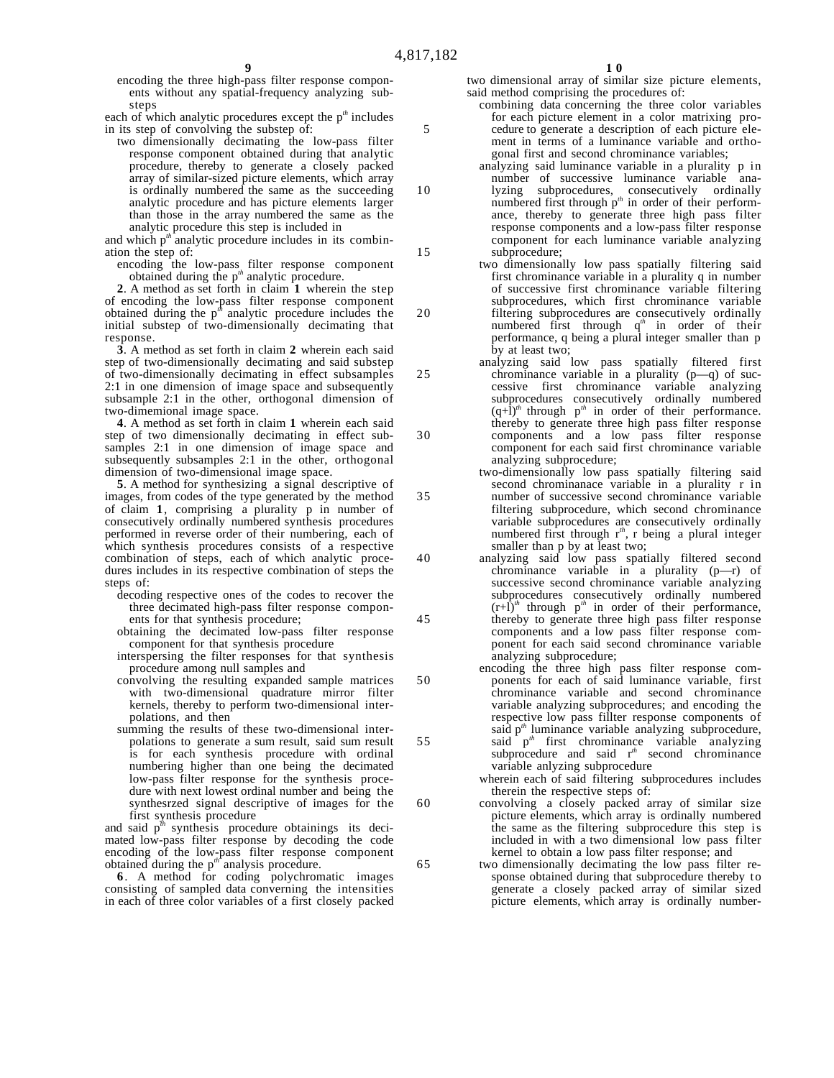encoding the three high-pass filter response components without any spatial-frequency analyzing substeps

each of which analytic procedures except the p<sup>th</sup> includes in its step of convolving the substep of:

two dimensionally decimating the low-pass filter response component obtained during that analytic procedure, thereby to generate a closely packed array of similar-sized picture elements, which array is ordinally numbered the same as the succeeding analytic procedure and has picture elements larger than those in the array numbered the same as the analytic procedure this step is included in

and which p<sup>th</sup> analytic procedure includes in its combination the step of:

encoding the low-pass filter response component obtained during the p*th* analytic procedure.

**2**. A method as set forth in claim **1** wherein the step of encoding the low-pass filter response component obtained during the p*th* analytic procedure includes the initial substep of two-dimensionally decimating that response.

**3**. A method as set forth in claim **2** wherein each said step of two-dimensionally decimating and said substep of two-dimensionally decimating in effect subsamples 2:1 in one dimension of image space and subsequently subsample 2:1 in the other, orthogonal dimension of two-dimemional image space.

**4**. A method as set forth in claim **1** wherein each said step of two dimensionally decimating in effect subsamples 2:1 in one dimension of image space and subsequently subsamples 2:1 in the other, orthogonal dimension of two-dimensional image space.

**5**. A method for synthesizing a signal descriptive of images, from codes of the type generated by the method of claim **1**, comprising a plurality p in number of consecutively ordinally numbered synthesis procedures performed in reverse order of their numbering, each of which synthesis procedures consists of a respective combination of steps, each of which analytic procedures includes in its respective combination of steps the steps of:

decoding respective ones of the codes to recover the three decimated high-pass filter response components for that synthesis procedure;

obtaining the decimated low-pass filter response component for that synthesis procedure

interspersing the filter responses for that synthesis procedure among null samples and

- convolving the resulting expanded sample matrices with two-dimensional quadrature mirror filter kernels, thereby to perform two-dimensional interpolations, and then
- summing the results of these two-dimensional interpolations to generate a sum result, said sum result is for each synthesis procedure with ordinal numbering higher than one being the decimated low-pass filter response for the synthesis procedure with next lowest ordinal number and being the synthesrzed signal descriptive of images for the first synthesis procedure

and said  $p^{th}$  synthesis procedure obtainings its decimated low-pass filter response by decoding the code encoding of the low-pass filter response component obtained during the p*th* analysis procedure.

**6**. A method for coding polychromatic images consisting of sampled data converning the intensities in each of three color variables of a first closely packed

two dimensional array of similar size picture elements, said method comprising the procedures of:

combining data concerning the three color variables for each picture element in a color matrixing procedure to generate a description of each picture element in terms of a luminance variable and orthogonal first and second chrominance variables;

analyzing said luminance variable in a plurality p in number of successive luminance variable analyzing subprocedures, consecutively ordinally numbered first through p<sup>th</sup> in order of their performance, thereby to generate three high pass filter response components and a low-pass filter response component for each luminance variable analyzing subprocedure;

- two dimensionally low pass spatially filtering said first chrominance variable in a plurality q in number of successive first chrominance variable filtering subprocedures, which first chrominance variable filtering subprocedures are consecutively ordinally numbered first through  $q^n$  in order of their performance, q being a plural integer smaller than p by at least two;
- analyzing said low pass spatially filtered first chrominance variable in a plurality (p—q) of successive first chrominance variable analyzing subprocedures consecutively ordinally numbered  $(q+1)^{m}$  through  $p^{m}$  in order of their performance. thereby to generate three high pass filter response components and a low pass filter response component for each said first chrominance variable analyzing subprocedure;
- two-dimensionally low pass spatially filtering said second chrominanace variable in a plurality r in number of successive second chrominance variable filtering subprocedure, which second chrominance variable subprocedures are consecutively ordinally numbered first through r<sup>*th*</sup>, r being a plural integer smaller than p by at least two;
- analyzing said low pass spatially filtered second chrominance variable in a plurality (p—r) of successive second chrominance variable analyzing subprocedures consecutively ordinally numbered  $(r+\bar{l})$ <sup>th</sup> through  $p$ <sup>th</sup> in order of their performance, thereby to generate three high pass filter response components and a low pass filter response component for each said second chrominance variable analyzing subprocedure;
- encoding the three high pass filter response components for each of said luminance variable, first chrominance variable and second chrominance variable analyzing subprocedures; and encoding the respective low pass fillter response components of said p*th* luminance variable analyzing subprocedure, said  $p^{th}$  first chrominance variable analyzing subprocedure and said r*th* second chrominance variable anlyzing subprocedure
	- wherein each of said filtering subprocedures includes therein the respective steps of:
	- convolving a closely packed array of similar size picture elements, which array is ordinally numbered the same as the filtering subprocedure this step is included in with a two dimensional low pass filter kernel to obtain a low pass filter response; and
	- two dimensionally decimating the low pass filter response obtained during that subprocedure thereby to generate a closely packed array of similar sized picture elements, which array is ordinally number-

5

10

15

20

25

30

35

40

45

50

55

60